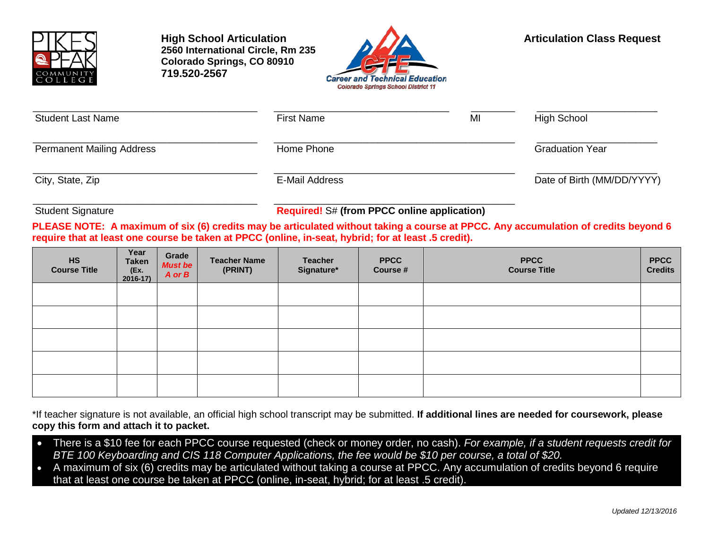

**High School Articulation Articulation Articulation Class Request 2560 International Circle, Rm 235 Colorado Springs, CO 80910 719.520-2567**



| <b>Student Last Name</b>         | <b>First Name</b> | MI | High School                |  |  |
|----------------------------------|-------------------|----|----------------------------|--|--|
| <b>Permanent Mailing Address</b> | Home Phone        |    | <b>Graduation Year</b>     |  |  |
| City, State, Zip                 | E-Mail Address    |    | Date of Birth (MM/DD/YYYY) |  |  |

\_\_\_\_\_\_\_\_\_\_\_\_\_\_\_\_\_\_\_\_\_\_\_\_\_\_\_\_\_\_\_\_\_\_\_\_\_\_\_\_\_ \_\_\_\_\_\_\_\_\_\_\_\_\_\_\_\_\_\_\_\_\_\_\_\_\_\_\_\_\_\_\_\_\_\_\_\_\_\_\_\_\_\_\_\_ Student Signature **Required!** S# **(from PPCC online application)**

**PLEASE NOTE: A maximum of six (6) credits may be articulated without taking a course at PPCC. Any accumulation of credits beyond 6 require that at least one course be taken at PPCC (online, in-seat, hybrid; for at least .5 credit).**

| <b>HS</b><br><b>Course Title</b> | Year<br><b>Taken</b><br>(Ex.<br>2016-17) | Grade<br><b>Must be</b><br>$A$ or $B$ | <b>Teacher Name</b><br>(PRINT) | <b>Teacher</b><br>Signature* | <b>PPCC</b><br>Course # | <b>PPCC</b><br><b>Course Title</b> | <b>PPCC</b><br><b>Credits</b> |
|----------------------------------|------------------------------------------|---------------------------------------|--------------------------------|------------------------------|-------------------------|------------------------------------|-------------------------------|
|                                  |                                          |                                       |                                |                              |                         |                                    |                               |
|                                  |                                          |                                       |                                |                              |                         |                                    |                               |
|                                  |                                          |                                       |                                |                              |                         |                                    |                               |
|                                  |                                          |                                       |                                |                              |                         |                                    |                               |
|                                  |                                          |                                       |                                |                              |                         |                                    |                               |

\*If teacher signature is not available, an official high school transcript may be submitted. **If additional lines are needed for coursework, please copy this form and attach it to packet.**

- There is a \$10 fee for each PPCC course requested (check or money order, no cash). *For example, if a student requests credit for BTE 100 Keyboarding and CIS 118 Computer Applications, the fee would be \$10 per course, a total of \$20.*
- A maximum of six (6) credits may be articulated without taking a course at PPCC. Any accumulation of credits beyond 6 require that at least one course be taken at PPCC (online, in-seat, hybrid; for at least .5 credit).